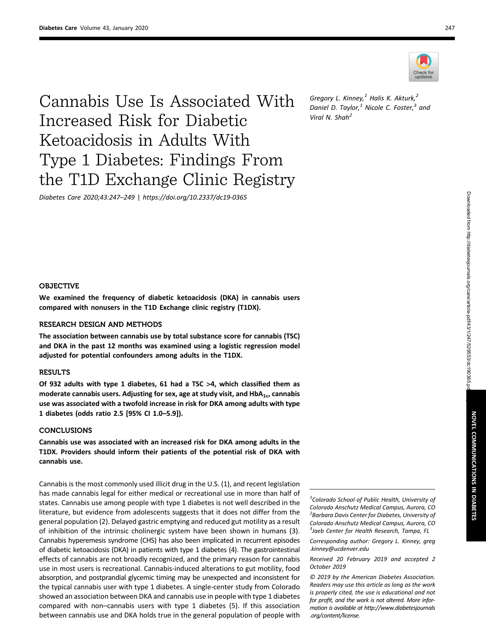

Cannabis Use Is Associated With Increased Risk for Diabetic Ketoacidosis in Adults With Type 1 Diabetes: Findings From the T1D Exchange Clinic Registry

Diabetes Care 2020;43:247–249 | <https://doi.org/10.2337/dc19-0365>

Gregory L. Kinney, $1$  Halis K. Akturk, $2$ Daniel D. Taylor, $<sup>1</sup>$  Nicole C. Foster, $<sup>3</sup>$  and</sup></sup> Viral N. Shah<sup>2</sup>

#### **OBJECTIVE**

We examined the frequency of diabetic ketoacidosis (DKA) in cannabis users compared with nonusers in the T1D Exchange clinic registry (T1DX).

### RESEARCH DESIGN AND METHODS

The association between cannabis use by total substance score for cannabis (TSC) and DKA in the past 12 months was examined using a logistic regression model adjusted for potential confounders among adults in the T1DX.

### **RESULTS**

Of 932 adults with type 1 diabetes, 61 had a TSC  $>4$ , which classified them as moderate cannabis users. Adjusting for sex, age at study visit, and  $HbA_{1c}$ , cannabis use was associated with a twofold increase in risk for DKA among adults with type 1 diabetes (odds ratio 2.5 [95% CI 1.0–5.9]).

### **CONCLUSIONS**

Cannabis use was associated with an increased risk for DKA among adults in the T1DX. Providers should inform their patients of the potential risk of DKA with cannabis use.

Cannabis is the most commonly used illicit drug in the U.S. (1), and recent legislation has made cannabis legal for either medical or recreational use in more than half of states. Cannabis use among people with type 1 diabetes is not well described in the literature, but evidence from adolescents suggests that it does not differ from the general population (2). Delayed gastric emptying and reduced gut motility as a result of inhibition of the intrinsic cholinergic system have been shown in humans (3). Cannabis hyperemesis syndrome (CHS) has also been implicated in recurrent episodes of diabetic ketoacidosis (DKA) in patients with type 1 diabetes (4). The gastrointestinal effects of cannabis are not broadly recognized, and the primary reason for cannabis use in most users is recreational. Cannabis-induced alterations to gut motility, food absorption, and postprandial glycemic timing may be unexpected and inconsistent for the typical cannabis user with type 1 diabetes. A single-center study from Colorado showed an association between DKA and cannabis use in people with type 1 diabetes compared with non–cannabis users with type 1 diabetes (5). If this association between cannabis use and DKA holds true in the general population of people with

 $1$ Colorado School of Public Health, University of Colorado Anschutz Medical Campus, Aurora, CO <sup>2</sup> Barbara Davis Center for Diabetes, University of Colorado Anschutz Medical Campus, Aurora, CO <sup>3</sup>Jaeb Center for Health Research, Tampa, FL

© 2019 by the American Diabetes Association. Readers may use this article as long as the work is properly cited, the use is educational and not for profit, and the work is not altered. More information is available at [http://www.diabetesjournals](http://www.diabetesjournals.org/content/license) [.org/content/license](http://www.diabetesjournals.org/content/license).

Corresponding author: Gregory L. Kinney, [greg](mailto:greg.kinney@ucdenver.edu) [.kinney@ucdenver.edu](mailto:greg.kinney@ucdenver.edu)

Received 20 February 2019 and accepted 2 October 2019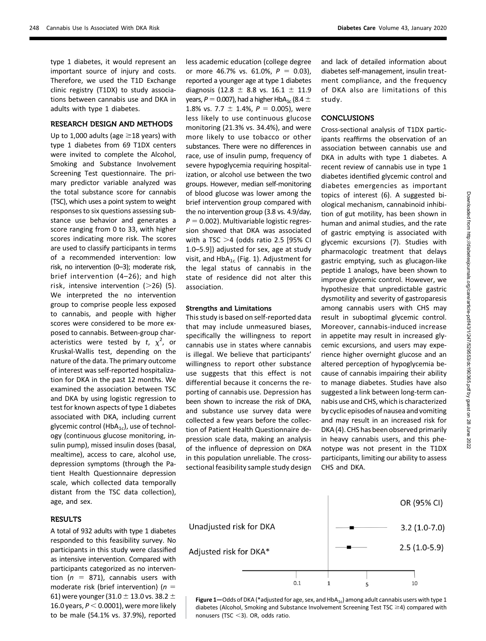type 1 diabetes, it would represent an important source of injury and costs. Therefore, we used the T1D Exchange clinic registry (T1DX) to study associations between cannabis use and DKA in adults with type 1 diabetes.

### RESEARCH DESIGN AND METHODS

Up to 1,000 adults (age  $\geq$  18 years) with type 1 diabetes from 69 T1DX centers were invited to complete the Alcohol, Smoking and Substance Involvement Screening Test questionnaire. The primary predictor variable analyzed was the total substance score for cannabis (TSC), which uses a point system to weight responses to six questions assessing substance use behavior and generates a score ranging from 0 to 33, with higher scores indicating more risk. The scores are used to classify participants in terms of a recommended intervention: low risk, no intervention (0–3); moderate risk, brief intervention (4–26); and high risk, intensive intervention  $(>26)$  (5). We interpreted the no intervention group to comprise people less exposed to cannabis, and people with higher scores were considered to be more exposed to cannabis. Between-group characteristics were tested by t,  $\chi^2$ , or Kruskal-Wallis test, depending on the nature of the data. The primary outcome of interest was self-reported hospitalization for DKA in the past 12 months. We examined the association between TSC and DKA by using logistic regression to test for known aspects of type 1 diabetes associated with DKA, including current glycemic control (HbA<sub>1c</sub>), use of technology (continuous glucose monitoring, insulin pump), missed insulin doses (basal, mealtime), access to care, alcohol use, depression symptoms (through the Patient Health Questionnaire depression scale, which collected data temporally distant from the TSC data collection), age, and sex.

### **RESULTS**

A total of 932 adults with type 1 diabetes responded to this feasibility survey. No participants in this study were classified as intensive intervention. Compared with participants categorized as no intervention ( $n = 871$ ), cannabis users with moderate risk (brief intervention) ( $n =$ 61) were younger (31.0  $\pm$  13.0 vs. 38.2  $\pm$ 16.0 years,  $P < 0.0001$ ), were more likely to be male (54.1% vs. 37.9%), reported less academic education (college degree or more 46.7% vs. 61.0%,  $P = 0.03$ ), reported a younger age at type 1 diabetes diagnosis (12.8  $\pm$  8.8 vs. 16.1  $\pm$  11.9 years,  $P = 0.007$ ), had a higher HbA<sub>1c</sub> (8.4  $\pm$ 1.8% vs. 7.7  $\pm$  1.4%,  $P = 0.005$ ), were less likely to use continuous glucose monitoring (21.3% vs. 34.4%), and were more likely to use tobacco or other substances. There were no differences in race, use of insulin pump, frequency of severe hypoglycemia requiring hospitalization, or alcohol use between the two groups. However, median self-monitoring of blood glucose was lower among the brief intervention group compared with the no intervention group (3.8 vs. 4.9/day,  $P = 0.002$ ). Multivariable logistic regression showed that DKA was associated with a TSC  $>4$  (odds ratio 2.5 [95% CI 1.0–5.9]) adjusted for sex, age at study visit, and  $HbA_{1c}$  (Fig. 1). Adjustment for the legal status of cannabis in the state of residence did not alter this association.

# Strengths and Limitations

This study is based on self-reported data that may include unmeasured biases, specifically the willingness to report cannabis use in states where cannabis is illegal. We believe that participants' willingness to report other substance use suggests that this effect is not differential because it concerns the reporting of cannabis use. Depression has been shown to increase the risk of DKA, and substance use survey data were collected a few years before the collection of Patient Health Questionnaire depression scale data, making an analysis of the influence of depression on DKA in this population unreliable. The crosssectional feasibility sample study design and lack of detailed information about diabetes self-management, insulin treatment compliance, and the frequency of DKA also are limitations of this study.

## CONCLUSIONS

Cross-sectional analysis of T1DX participants reaffirms the observation of an association between cannabis use and DKA in adults with type 1 diabetes. A recent review of cannabis use in type 1 diabetes identified glycemic control and diabetes emergencies as important topics of interest (6). A suggested biological mechanism, cannabinoid inhibition of gut motility, has been shown in human and animal studies, and the rate of gastric emptying is associated with glycemic excursions (7). Studies with pharmacologic treatment that delays gastric emptying, such as glucagon-like peptide 1 analogs, have been shown to improve glycemic control. However, we hypothesize that unpredictable gastric dysmotility and severity of gastroparesis among cannabis users with CHS may result in suboptimal glycemic control. Moreover, cannabis-induced increase in appetite may result in increased glycemic excursions, and users may experience higher overnight glucose and an altered perception of hypoglycemia because of cannabis impairing their ability to manage diabetes. Studies have also suggested a link between long-term cannabis use and CHS, which is characterized by cyclic episodes of nausea and vomiting and may result in an increased risk for DKA (4). CHS has been observed primarily in heavy cannabis users, and this phenotype was not present in the T1DX participants, limiting our ability to assess CHS and DKA.



Figure 1-Odds of DKA (\*adjusted for age, sex, and HbA<sub>1c</sub>) among adult cannabis users with type 1 diabetes (Alcohol, Smoking and Substance Involvement Screening Test TSC  $\geq$ 4) compared with nonusers (TSC  $<$ 3). OR, odds ratio.